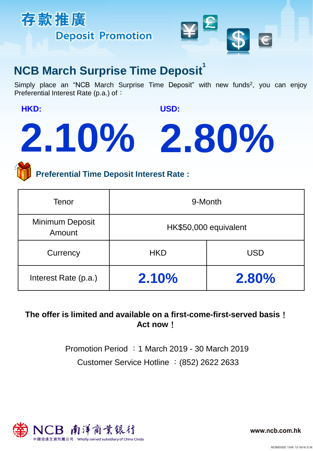



## **NCB March Surprise Time Deposit**

Simply place an "NCB March Surprise Time Deposit" with new funds<sup>2</sup>, you can enjoy Preferential Interest Rate (p.a.) of:

**HKD:** 

**USD:** 

# **2.10% 2.80%**

**Preferential Time Deposit Interest Rate :**

| Tenor                     | 9-Month               |            |
|---------------------------|-----------------------|------------|
| Minimum Deposit<br>Amount | HK\$50,000 equivalent |            |
| Currency                  | <b>HKD</b>            | <b>USD</b> |
| Interest Rate (p.a.)      | 2.10%                 | 2.80%      |

## **The offer is limited and available on a first-come-first-served basis**! **Act now**!

Customer Service Hotline :(852) 2622 2633 Promotion Period :1 March 2019 - 30 March 2019



www.ncb.com.hk